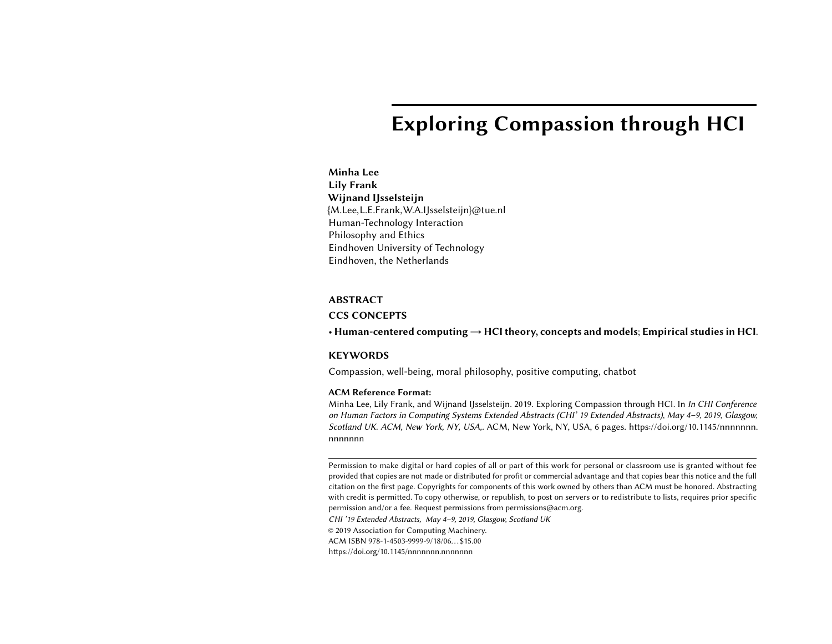# Exploring Compassion through HCI

Minha Lee Lily Frank Wijnand IJsselsteijn {M.Lee,L.E.Frank,W.A.IJsselsteijn}@tue.nl Human-Technology Interaction Philosophy and Ethics Eindhoven University of Technology Eindhoven, the Netherlands

#### ABSTRACT

#### CCS CONCEPTS

• Human-centered computing  $\rightarrow$  HCI theory, concepts and models; Empirical studies in HCI.

#### **KEYWORDS**

Compassion, well-being, moral philosophy, positive computing, chatbot

#### ACM Reference Format:

Minha Lee, Lily Frank, and Wijnand IJsselsteijn. 2019. Exploring Compassion through HCI. In In CHI Conference on Human Factors in Computing Systems Extended Abstracts (CHI' 19 Extended Abstracts), May 4–9, 2019, Glasgow, Scotland UK. ACM, New York, NY, USA,. ACM, New York, NY, USA, [6](#page-5-0) pages. [https://doi.org/10.1145/nnnnnnn.](https://doi.org/10.1145/nnnnnnn.nnnnnnn) nnnnnn

Permission to make digital or hard copies of all or part of this work for personal or classroom use is granted without fee provided that copies are not made or distributed for profit or commercial advantage and that copies bear this notice and the full citation on the first page. Copyrights for components of this work owned by others than ACM must be honored. Abstracting with credit is permitted. To copy otherwise, or republish, to post on servers or to redistribute to lists, requires prior specific permission and/or a fee. Request permissions from permissions@acm.org.

CHI '19 Extended Abstracts, May 4–9, 2019, Glasgow, Scotland UK

© 2019 Association for Computing Machinery.

ACM ISBN 978-1-4503-9999-9/18/06. . . \$15.00

https://doi.org/10.1145/nnnnnnnn.nnnnnnn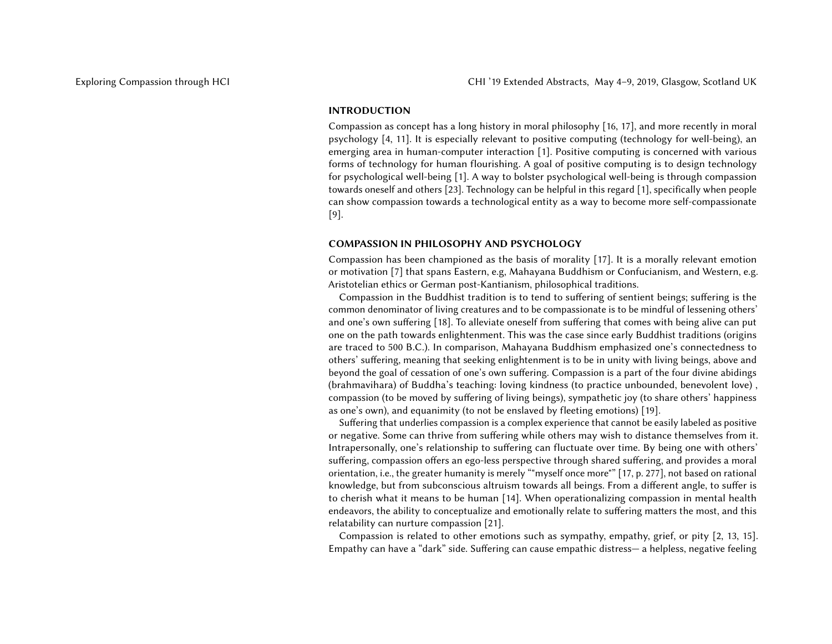# INTRODUCTION

Compassion as concept has a long history in moral philosophy [\[16,](#page-5-1) [17\]](#page-5-2), and more recently in moral psychology [\[4,](#page-4-0) [11\]](#page-5-3). It is especially relevant to positive computing (technology for well-being), an emerging area in human-computer interaction [\[1\]](#page-4-1). Positive computing is concerned with various forms of technology for human flourishing. A goal of positive computing is to design technology for psychological well-being [\[1\]](#page-4-1). A way to bolster psychological well-being is through compassion towards oneself and others [\[23\]](#page-5-4). Technology can be helpful in this regard [\[1\]](#page-4-1), specifically when people can show compassion towards a technological entity as a way to become more self-compassionate [\[9\]](#page-5-5).

#### COMPASSION IN PHILOSOPHY AND PSYCHOLOGY

Compassion has been championed as the basis of morality [\[17\]](#page-5-2). It is a morally relevant emotion or motivation [\[7\]](#page-4-2) that spans Eastern, e.g, Mahayana Buddhism or Confucianism, and Western, e.g. Aristotelian ethics or German post-Kantianism, philosophical traditions.

Compassion in the Buddhist tradition is to tend to suffering of sentient beings; suffering is the common denominator of living creatures and to be compassionate is to be mindful of lessening others' and one's own suffering [\[18\]](#page-5-6). To alleviate oneself from suffering that comes with being alive can put one on the path towards enlightenment. This was the case since early Buddhist traditions (origins are traced to 500 B.C.). In comparison, Mahayana Buddhism emphasized one's connectedness to others' suffering, meaning that seeking enlightenment is to be in unity with living beings, above and beyond the goal of cessation of one's own suffering. Compassion is a part of the four divine abidings (brahmavihara) of Buddha's teaching: loving kindness (to practice unbounded, benevolent love) , compassion (to be moved by suffering of living beings), sympathetic joy (to share others' happiness as one's own), and equanimity (to not be enslaved by fleeting emotions) [\[19\]](#page-5-7).

Suffering that underlies compassion is a complex experience that cannot be easily labeled as positive or negative. Some can thrive from suffering while others may wish to distance themselves from it. Intrapersonally, one's relationship to suffering can fluctuate over time. By being one with others' suffering, compassion offers an ego-less perspective through shared suffering, and provides a moral orientation, i.e., the greater humanity is merely ""myself once more"" [\[17,](#page-5-2) p. 277], not based on rational knowledge, but from subconscious altruism towards all beings. From a different angle, to suffer is to cherish what it means to be human [\[14\]](#page-5-8). When operationalizing compassion in mental health endeavors, the ability to conceptualize and emotionally relate to suffering matters the most, and this relatability can nurture compassion [\[21\]](#page-5-9).

Compassion is related to other emotions such as sympathy, empathy, grief, or pity [\[2,](#page-4-3) [13,](#page-5-10) [15\]](#page-5-11). Empathy can have a "dark" side. Suffering can cause empathic distress— a helpless, negative feeling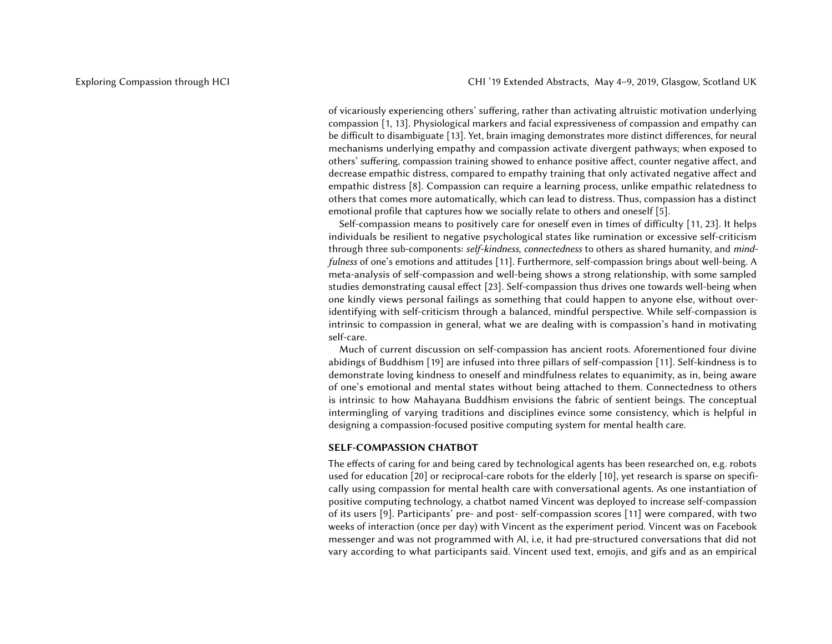of vicariously experiencing others' suffering, rather than activating altruistic motivation underlying compassion [\[1,](#page-4-1) [13\]](#page-5-10). Physiological markers and facial expressiveness of compassion and empathy can be difficult to disambiguate [\[13\]](#page-5-10). Yet, brain imaging demonstrates more distinct differences, for neural mechanisms underlying empathy and compassion activate divergent pathways; when exposed to others' suffering, compassion training showed to enhance positive affect, counter negative affect, and decrease empathic distress, compared to empathy training that only activated negative affect and empathic distress [\[8\]](#page-4-4). Compassion can require a learning process, unlike empathic relatedness to others that comes more automatically, which can lead to distress. Thus, compassion has a distinct emotional profile that captures how we socially relate to others and oneself [\[5\]](#page-4-5).

Self-compassion means to positively care for oneself even in times of difficulty [\[11,](#page-5-3) [23\]](#page-5-4). It helps individuals be resilient to negative psychological states like rumination or excessive self-criticism through three sub-components: self-kindness, connectedness to others as shared humanity, and mind-fulness of one's emotions and attitudes [\[11\]](#page-5-3). Furthermore, self-compassion brings about well-being. A meta-analysis of self-compassion and well-being shows a strong relationship, with some sampled studies demonstrating causal effect [\[23\]](#page-5-4). Self-compassion thus drives one towards well-being when one kindly views personal failings as something that could happen to anyone else, without overidentifying with self-criticism through a balanced, mindful perspective. While self-compassion is intrinsic to compassion in general, what we are dealing with is compassion's hand in motivating self-care.

Much of current discussion on self-compassion has ancient roots. Aforementioned four divine abidings of Buddhism [\[19\]](#page-5-7) are infused into three pillars of self-compassion [\[11\]](#page-5-3). Self-kindness is to demonstrate loving kindness to oneself and mindfulness relates to equanimity, as in, being aware of one's emotional and mental states without being attached to them. Connectedness to others is intrinsic to how Mahayana Buddhism envisions the fabric of sentient beings. The conceptual intermingling of varying traditions and disciplines evince some consistency, which is helpful in designing a compassion-focused positive computing system for mental health care.

## SELF-COMPASSION CHATBOT

The effects of caring for and being cared by technological agents has been researched on, e.g. robots used for education [\[20\]](#page-5-12) or reciprocal-care robots for the elderly [\[10\]](#page-5-13), yet research is sparse on specifically using compassion for mental health care with conversational agents. As one instantiation of positive computing technology, a chatbot named Vincent was deployed to increase self-compassion of its users [\[9\]](#page-5-5). Participants' pre- and post- self-compassion scores [\[11\]](#page-5-3) were compared, with two weeks of interaction (once per day) with Vincent as the experiment period. Vincent was on Facebook messenger and was not programmed with AI, i.e, it had pre-structured conversations that did not vary according to what participants said. Vincent used text, emojis, and gifs and as an empirical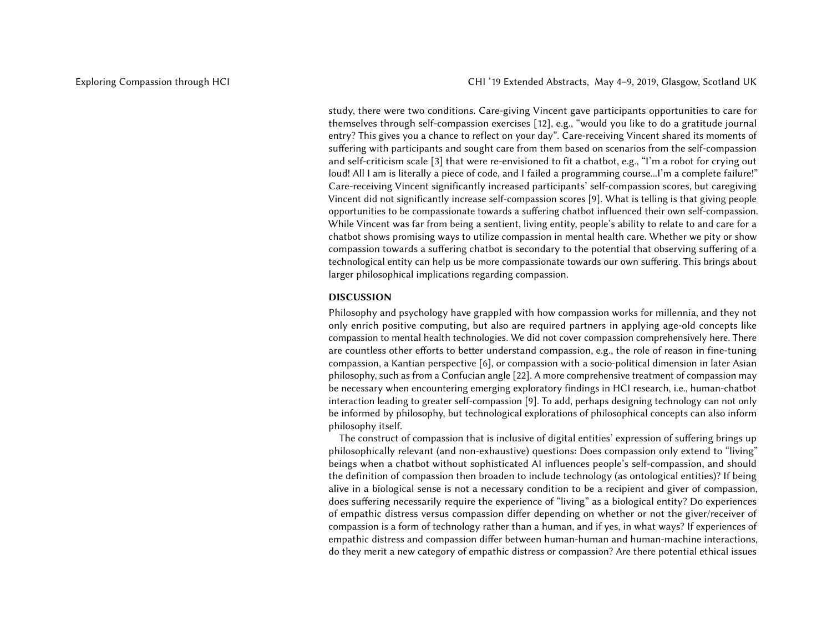study, there were two conditions. Care-giving Vincent gave participants opportunities to care for themselves through self-compassion exercises [\[12\]](#page-5-14), e.g., "would you like to do a gratitude journal entry? This gives you a chance to reflect on your day". Care-receiving Vincent shared its moments of suffering with participants and sought care from them based on scenarios from the self-compassion and self-criticism scale [\[3\]](#page-4-6) that were re-envisioned to fit a chatbot, e.g., "I'm a robot for crying out loud! All I am is literally a piece of code, and I failed a programming course...I'm a complete failure!" Care-receiving Vincent significantly increased participants' self-compassion scores, but caregiving Vincent did not significantly increase self-compassion scores [\[9\]](#page-5-5). What is telling is that giving people opportunities to be compassionate towards a suffering chatbot influenced their own self-compassion. While Vincent was far from being a sentient, living entity, people's ability to relate to and care for a chatbot shows promising ways to utilize compassion in mental health care. Whether we pity or show compassion towards a suffering chatbot is secondary to the potential that observing suffering of a technological entity can help us be more compassionate towards our own suffering. This brings about larger philosophical implications regarding compassion.

# DISCUSSION

Philosophy and psychology have grappled with how compassion works for millennia, and they not only enrich positive computing, but also are required partners in applying age-old concepts like compassion to mental health technologies. We did not cover compassion comprehensively here. There are countless other efforts to better understand compassion, e.g., the role of reason in fine-tuning compassion, a Kantian perspective [\[6\]](#page-4-7), or compassion with a socio-political dimension in later Asian philosophy, such as from a Confucian angle [\[22\]](#page-5-15). A more comprehensive treatment of compassion may be necessary when encountering emerging exploratory findings in HCI research, i.e., human-chatbot interaction leading to greater self-compassion [\[9\]](#page-5-5). To add, perhaps designing technology can not only be informed by philosophy, but technological explorations of philosophical concepts can also inform philosophy itself.

The construct of compassion that is inclusive of digital entities' expression of suffering brings up philosophically relevant (and non-exhaustive) questions: Does compassion only extend to "living" beings when a chatbot without sophisticated AI influences people's self-compassion, and should the definition of compassion then broaden to include technology (as ontological entities)? If being alive in a biological sense is not a necessary condition to be a recipient and giver of compassion, does suffering necessarily require the experience of "living" as a biological entity? Do experiences of empathic distress versus compassion differ depending on whether or not the giver/receiver of compassion is a form of technology rather than a human, and if yes, in what ways? If experiences of empathic distress and compassion differ between human-human and human-machine interactions, do they merit a new category of empathic distress or compassion? Are there potential ethical issues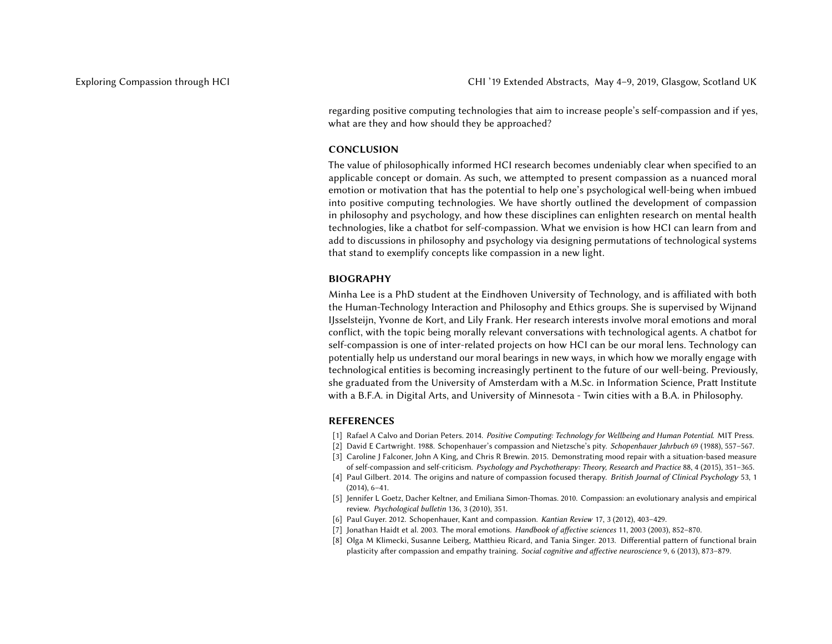regarding positive computing technologies that aim to increase people's self-compassion and if yes, what are they and how should they be approached?

#### CONCLUSION

The value of philosophically informed HCI research becomes undeniably clear when specified to an applicable concept or domain. As such, we attempted to present compassion as a nuanced moral emotion or motivation that has the potential to help one's psychological well-being when imbued into positive computing technologies. We have shortly outlined the development of compassion in philosophy and psychology, and how these disciplines can enlighten research on mental health technologies, like a chatbot for self-compassion. What we envision is how HCI can learn from and add to discussions in philosophy and psychology via designing permutations of technological systems that stand to exemplify concepts like compassion in a new light.

#### BIOGRAPHY

Minha Lee is a PhD student at the Eindhoven University of Technology, and is affiliated with both the Human-Technology Interaction and Philosophy and Ethics groups. She is supervised by Wijnand IJsselsteijn, Yvonne de Kort, and Lily Frank. Her research interests involve moral emotions and moral conflict, with the topic being morally relevant conversations with technological agents. A chatbot for self-compassion is one of inter-related projects on how HCI can be our moral lens. Technology can potentially help us understand our moral bearings in new ways, in which how we morally engage with technological entities is becoming increasingly pertinent to the future of our well-being. Previously, she graduated from the University of Amsterdam with a M.Sc. in Information Science, Pratt Institute with a B.F.A. in Digital Arts, and University of Minnesota - Twin cities with a B.A. in Philosophy.

# REFERENCES

- <span id="page-4-1"></span>[1] Rafael A Calvo and Dorian Peters. 2014. Positive Computing: Technology for Wellbeing and Human Potential. MIT Press.
- <span id="page-4-3"></span>[2] David E Cartwright. 1988. Schopenhauer's compassion and Nietzsche's pity. Schopenhauer Jahrbuch 69 (1988), 557–567.
- <span id="page-4-6"></span>[3] Caroline J Falconer, John A King, and Chris R Brewin. 2015. Demonstrating mood repair with a situation-based measure of self-compassion and self-criticism. Psychology and Psychotherapy: Theory, Research and Practice 88, 4 (2015), 351–365.
- <span id="page-4-0"></span>[4] Paul Gilbert. 2014. The origins and nature of compassion focused therapy. British Journal of Clinical Psychology 53, 1 (2014), 6–41.
- <span id="page-4-5"></span>[5] Jennifer L Goetz, Dacher Keltner, and Emiliana Simon-Thomas. 2010. Compassion: an evolutionary analysis and empirical review. Psychological bulletin 136, 3 (2010), 351.
- <span id="page-4-7"></span>[6] Paul Guyer. 2012. Schopenhauer, Kant and compassion. Kantian Review 17, 3 (2012), 403–429.
- <span id="page-4-2"></span>[7] Jonathan Haidt et al. 2003. The moral emotions. Handbook of affective sciences 11, 2003 (2003), 852–870.
- <span id="page-4-4"></span>[8] Olga M Klimecki, Susanne Leiberg, Matthieu Ricard, and Tania Singer. 2013. Differential pattern of functional brain plasticity after compassion and empathy training. Social cognitive and affective neuroscience 9, 6 (2013), 873–879.